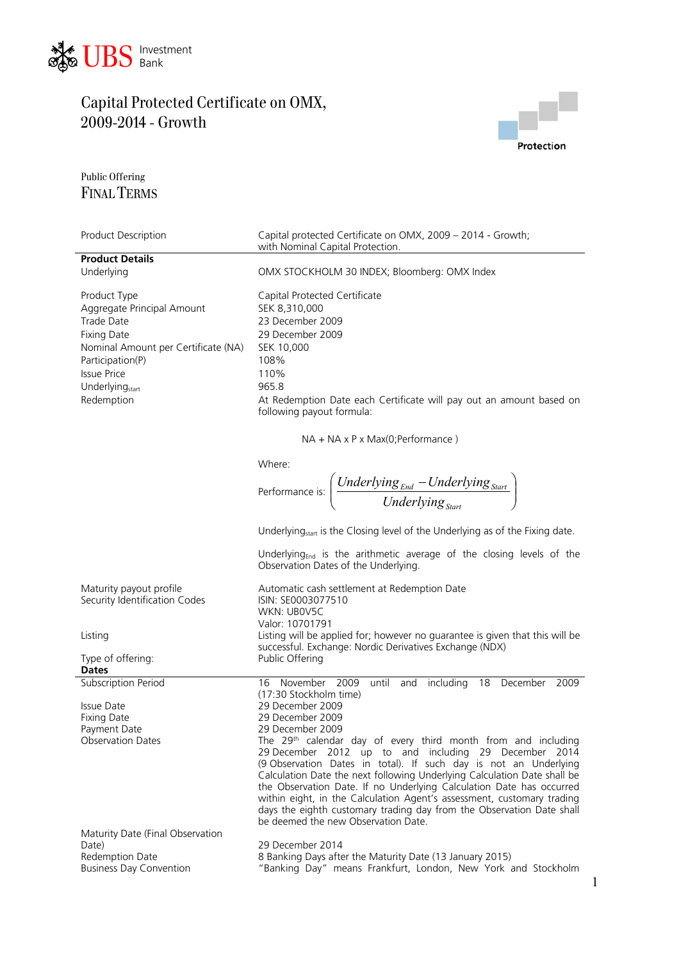



1

Public Offering FINAL TERMS

| Product Description                                                                                                                                                                                          | Capital protected Certificate on OMX, 2009 - 2014 - Growth;<br>with Nominal Capital Protection.                                                                                                                                                                                                                                                                                                                                                                                                                                                                                                                                            |
|--------------------------------------------------------------------------------------------------------------------------------------------------------------------------------------------------------------|--------------------------------------------------------------------------------------------------------------------------------------------------------------------------------------------------------------------------------------------------------------------------------------------------------------------------------------------------------------------------------------------------------------------------------------------------------------------------------------------------------------------------------------------------------------------------------------------------------------------------------------------|
| <b>Product Details</b>                                                                                                                                                                                       |                                                                                                                                                                                                                                                                                                                                                                                                                                                                                                                                                                                                                                            |
| Underlying                                                                                                                                                                                                   | OMX STOCKHOLM 30 INDEX; Bloomberg: OMX Index                                                                                                                                                                                                                                                                                                                                                                                                                                                                                                                                                                                               |
| Product Type<br>Aggregate Principal Amount<br>Trade Date<br><b>Fixing Date</b><br>Nominal Amount per Certificate (NA)<br>Participation(P)<br><b>Issue Price</b><br>Underlying <sub>start</sub><br>Redemption | Capital Protected Certificate<br>SEK 8,310,000<br>23 December 2009<br>29 December 2009<br>SEK 10,000<br>108%<br>110%<br>965.8<br>At Redemption Date each Certificate will pay out an amount based on<br>following payout formula:                                                                                                                                                                                                                                                                                                                                                                                                          |
|                                                                                                                                                                                                              | $NA + NA \times P \times Max(O; Performance)$                                                                                                                                                                                                                                                                                                                                                                                                                                                                                                                                                                                              |
|                                                                                                                                                                                                              | Where:                                                                                                                                                                                                                                                                                                                                                                                                                                                                                                                                                                                                                                     |
|                                                                                                                                                                                                              | Performance is: $\left(\frac{Underlying_{End} - Underlying_{Start}}{Underlying_{Start}}\right)$                                                                                                                                                                                                                                                                                                                                                                                                                                                                                                                                            |
|                                                                                                                                                                                                              | Underlying <sub>start</sub> is the Closing level of the Underlying as of the Fixing date.                                                                                                                                                                                                                                                                                                                                                                                                                                                                                                                                                  |
|                                                                                                                                                                                                              | Underlying <sub>End</sub> is the arithmetic average of the closing levels of the<br>Observation Dates of the Underlying.                                                                                                                                                                                                                                                                                                                                                                                                                                                                                                                   |
| Maturity payout profile<br>Security Identification Codes                                                                                                                                                     | Automatic cash settlement at Redemption Date<br>ISIN: SE0003077510<br>WKN: UB0V5C<br>Valor: 10701791                                                                                                                                                                                                                                                                                                                                                                                                                                                                                                                                       |
| Listing                                                                                                                                                                                                      | Listing will be applied for; however no guarantee is given that this will be<br>successful. Exchange: Nordic Derivatives Exchange (NDX)                                                                                                                                                                                                                                                                                                                                                                                                                                                                                                    |
| Type of offering:<br><b>Dates</b>                                                                                                                                                                            | Public Offering                                                                                                                                                                                                                                                                                                                                                                                                                                                                                                                                                                                                                            |
| <b>Subscription Period</b>                                                                                                                                                                                   | November 2009 until and including 18 December 2009<br>16                                                                                                                                                                                                                                                                                                                                                                                                                                                                                                                                                                                   |
| Issue Date<br><b>Fixing Date</b><br>Payment Date<br><b>Observation Dates</b><br>Maturity Date (Final Observation                                                                                             | (17:30 Stockholm time)<br>29 December 2009<br>29 December 2009<br>29 December 2009<br>The 29 <sup>th</sup> calendar day of every third month from and including<br>29 December 2012 up to and including 29 December 2014<br>(9 Observation Dates in total). If such day is not an Underlying<br>Calculation Date the next following Underlying Calculation Date shall be<br>the Observation Date. If no Underlying Calculation Date has occurred<br>within eight, in the Calculation Agent's assessment, customary trading<br>days the eighth customary trading day from the Observation Date shall<br>be deemed the new Observation Date. |
| Date)<br>Redemption Date<br><b>Business Day Convention</b>                                                                                                                                                   | 29 December 2014<br>8 Banking Days after the Maturity Date (13 January 2015)<br>"Banking Day" means Frankfurt, London, New York and Stockholm                                                                                                                                                                                                                                                                                                                                                                                                                                                                                              |
|                                                                                                                                                                                                              |                                                                                                                                                                                                                                                                                                                                                                                                                                                                                                                                                                                                                                            |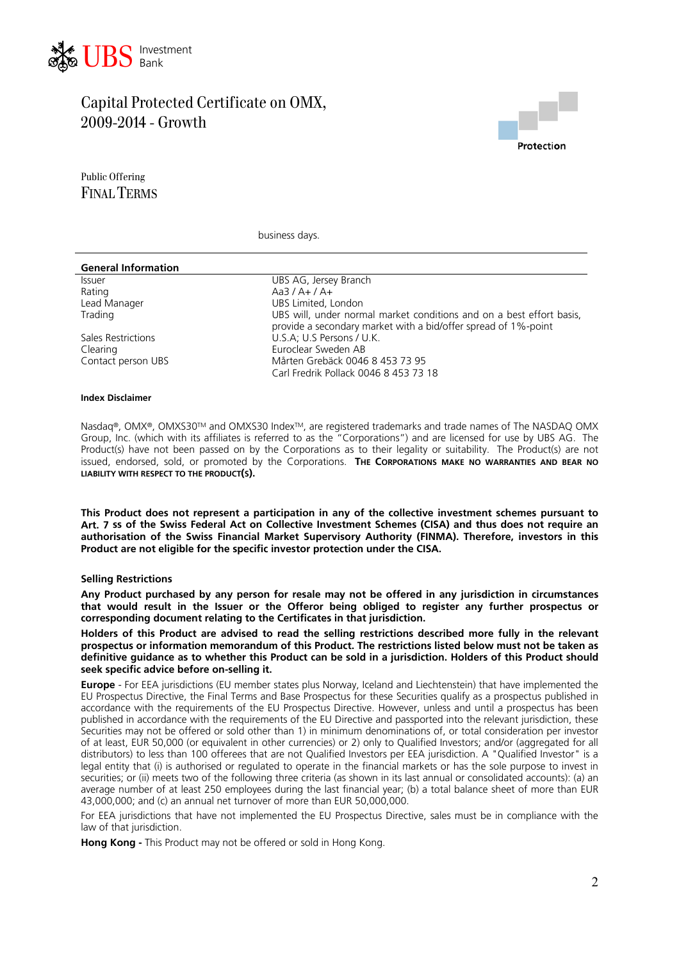



Public Offering FINAL TERMS

business days.

| <b>General Information</b> |                                                                                                                                        |
|----------------------------|----------------------------------------------------------------------------------------------------------------------------------------|
| <b>Issuer</b>              | UBS AG, Jersey Branch                                                                                                                  |
| Rating                     | Aa3 / A+ / A+                                                                                                                          |
| Lead Manager               | UBS Limited, London                                                                                                                    |
| Trading                    | UBS will, under normal market conditions and on a best effort basis,<br>provide a secondary market with a bid/offer spread of 1%-point |
| Sales Restrictions         | U.S.A; U.S Persons / U.K.                                                                                                              |
| Clearing                   | Euroclear Sweden AB                                                                                                                    |
| Contact person UBS         | Mårten Grebäck 0046 8 453 73 95                                                                                                        |
|                            | Carl Fredrik Pollack 0046 8 453 73 18                                                                                                  |
|                            |                                                                                                                                        |

#### **dex Disclaimer In**

Nasdaq®, OMX®, OMXS30™ and OMXS30 Index™, are registered trademarks and trade names of The NASDAQ OMX Group, Inc. (which with its affiliates is referred to as the "Corporations") and are licensed for use by UBS AG. The Product(s) have not been passed on by the Corporations as to their legality or suitability. The Product(s) are not issued, endorsed, sold, or promoted by the Corporations. **THE CORPORATIONS MAKE NO WARRANTIES AND BEAR NO LIABILITY WITH RESPECT TO THE PRODUCT(S).**

**This Product does not represent a participation in any of the collective investment schemes pursuant to Art. 7 ss of the Swiss Federal Act on Collective Investment Schemes (CISA) and thus does not require an authorisation of the Swiss Financial Market Supervisory Authority (FINMA). Therefore, investors in this Product are not eligible for the specific investor protection under the CISA.** 

### **elling Restrictions S**

Any Product purchased by any person for resale may not be offered in any jurisdiction in circumstances **that would result in the Issuer or the Offeror being obliged to register any further prospectus or corresponding document relating to the Certificates in that jurisdiction.** 

Holders of this Product are advised to read the selling restrictions described more fully in the relevant **prospectus or information memorandum of this Product. The restrictions listed below must not be taken as definitive guidance as to whether this Product can be sold in a jurisdiction. Holders of this Product should seek specific advice before on-selling it.**

**Europe** - For EEA jurisdictions (EU member states plus Norway, Iceland and Liechtenstein) that have implemented the EU Prospectus Directive, the Final Terms and Base Prospectus for these Securities qualify as a prospectus published in accordance with the requirements of the EU Prospectus Directive. However, unless and until a prospectus has been published in accordance with the requirements of the EU Directive and passported into the relevant jurisdiction, these Securities may not be offered or sold other than 1) in minimum denominations of, or total consideration per investor of at least, EUR 50,000 (or equivalent in other currencies) or 2) only to Qualified Investors; and/or (aggregated for all distributors) to less than 100 offerees that are not Qualified Investors per EEA jurisdiction. A "Qualified Investor" is a legal entity that (i) is authorised or regulated to operate in the financial markets or has the sole purpose to invest in securities; or (ii) meets two of the following three criteria (as shown in its last annual or consolidated accounts): (a) an average number of at least 250 employees during the last financial year; (b) a total balance sheet of more than EUR 43,000,000; and (c) an annual net turnover of more than EUR 50,000,000.

For EEA jurisdictions that have not implemented the EU Prospectus Directive, sales must be in compliance with the law of that jurisdiction.

**Hong Kong -** This Product may not be offered or sold in Hong Kong.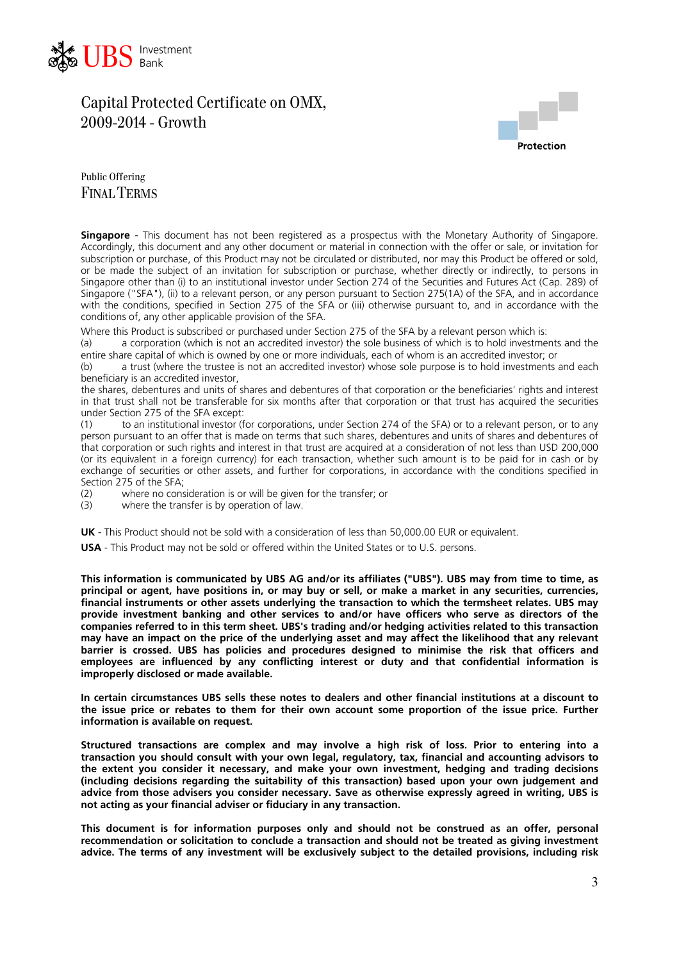



Public Offering FINAL TERMS

**Singapore** - This document has not been registered as a prospectus with the Monetary Authority of Singapore. Accordingly, this document and any other document or material in connection with the offer or sale, or invitation for subscription or purchase, of this Product may not be circulated or distributed, nor may this Product be offered or sold, or be made the subject of an invitation for subscription or purchase, whether directly or indirectly, to persons in Singapore other than (i) to an institutional investor under Section 274 of the Securities and Futures Act (Cap. 289) of Singapore ("SFA"), (ii) to a relevant person, or any person pursuant to Section 275(1A) of the SFA, and in accordance with the conditions, specified in Section 275 of the SFA or (iii) otherwise pursuant to, and in accordance with the conditions of, any other applicable provision of the SFA.

Where this Product is subscribed or purchased under Section 275 of the SFA by a relevant person which is:

(a) a corporation (which is not an accredited investor) the sole business of which is to hold investments and the entire share capital of which is owned by one or more individuals, each of whom is an accredited investor; or

(b) a trust (where the trustee is not an accredited investor) whose sole purpose is to hold investments and each beneficiary is an accredited investor,

the shares, debentures and units of shares and debentures of that corporation or the beneficiaries' rights and interest in that trust shall not be transferable for six months after that corporation or that trust has acquired the securities under Section 275 of the SFA except:

(1) to an institutional investor (for corporations, under Section 274 of the SFA) or to a relevant person, or to any person pursuant to an offer that is made on terms that such shares, debentures and units of shares and debentures of that corporation or such rights and interest in that trust are acquired at a consideration of not less than USD 200,000 (or its equivalent in a foreign currency) for each transaction, whether such amount is to be paid for in cash or by exchange of securities or other assets, and further for corporations, in accordance with the conditions specified in Section 275 of the SFA;

(2) where no consideration is or will be given for the transfer; or  $(3)$  where the transfer is by operation of law

where the transfer is by operation of law.

**UK** - This Product should not be sold with a consideration of less than 50,000.00 EUR or equivalent.

**USA** - This Product may not be sold or offered within the United States or to U.S. persons.

**This information is communicated by UBS AG and/or its affiliates ("UBS"). UBS may from time to time, as principal or agent, have positions in, or may buy or sell, or make a market in any securities, currencies, financial instruments or other assets underlying the transaction to which the termsheet relates. UBS may provide investment banking and other services to and/or have officers who serve as directors of the companies referred to in this term sheet. UBS's trading and/or hedging activities related to this transaction may have an impact on the price of the underlying asset and may affect the likelihood that any relevant barrier is crossed. UBS has policies and procedures designed to minimise the risk that officers and employees are influenced by any conflicting interest or duty and that confidential information is improperly disclosed or made available.** 

**In certain circumstances UBS sells these notes to dealers and other financial institutions at a discount to the issue price or rebates to them for their own account some proportion of the issue price. Further information is available on request.** 

**Structured transactions are complex and may involve a high risk of loss. Prior to entering into a transaction you should consult with your own legal, regulatory, tax, financial and accounting advisors to the extent you consider it necessary, and make your own investment, hedging and trading decisions (including decisions regarding the suitability of this transaction) based upon your own judgement and advice from those advisers you consider necessary. Save as otherwise expressly agreed in writing, UBS is not acting as your financial adviser or fiduciary in any transaction.** 

**This document is for information purposes only and should not be construed as an offer, personal recommendation or solicitation to conclude a transaction and should not be treated as giving investment advice. The terms of any investment will be exclusively subject to the detailed provisions, including risk**